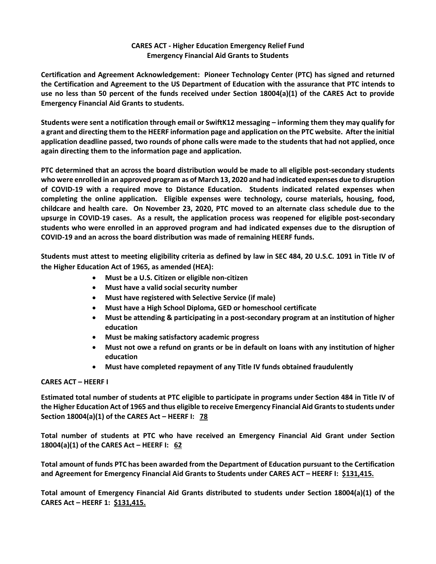## **CARES ACT - Higher Education Emergency Relief Fund Emergency Financial Aid Grants to Students**

**Certification and Agreement Acknowledgement: Pioneer Technology Center (PTC) has signed and returned the Certification and Agreement to the US Department of Education with the assurance that PTC intends to use no less than 50 percent of the funds received under Section 18004(a)(1) of the CARES Act to provide Emergency Financial Aid Grants to students.** 

**Students were sent a notification through email or SwiftK12 messaging – informing them they may qualify for a grant and directing them to the HEERF information page and application on the PTC website. After the initial application deadline passed, two rounds of phone calls were made to the students that had not applied, once again directing them to the information page and application.**

**PTC determined that an across the board distribution would be made to all eligible post-secondary students who were enrolled in an approved program as of March 13, 2020 and had indicated expenses due to disruption of COVID-19 with a required move to Distance Education. Students indicated related expenses when completing the online application. Eligible expenses were technology, course materials, housing, food, childcare and health care. On November 23, 2020, PTC moved to an alternate class schedule due to the upsurge in COVID-19 cases. As a result, the application process was reopened for eligible post-secondary students who were enrolled in an approved program and had indicated expenses due to the disruption of COVID-19 and an across the board distribution was made of remaining HEERF funds.**

**Students must attest to meeting eligibility criteria as defined by law in SEC 484, 20 U.S.C. 1091 in Title IV of the Higher Education Act of 1965, as amended (HEA):**

- **Must be a U.S. Citizen or eligible non-citizen**
- **Must have a valid social security number**
- **Must have registered with Selective Service (if male)**
- **Must have a High School Diploma, GED or homeschool certificate**
- **Must be attending & participating in a post-secondary program at an institution of higher education**
- **Must be making satisfactory academic progress**
- **Must not owe a refund on grants or be in default on loans with any institution of higher education**
- **Must have completed repayment of any Title IV funds obtained fraudulently**

## **CARES ACT – HEERF I**

**Estimated total number of students at PTC eligible to participate in programs under Section 484 in Title IV of the Higher Education Act of 1965 and thus eligible to receive Emergency Financial Aid Grants to students under Section 18004(a)(1) of the CARES Act – HEERF I: 78**

**Total number of students at PTC who have received an Emergency Financial Aid Grant under Section 18004(a)(1) of the CARES Act – HEERF I: 62**

**Total amount of funds PTC has been awarded from the Department of Education pursuant to the Certification and Agreement for Emergency Financial Aid Grants to Students under CARES ACT – HEERF I: \$131,415.**

**Total amount of Emergency Financial Aid Grants distributed to students under Section 18004(a)(1) of the CARES Act – HEERF 1: \$131,415.**